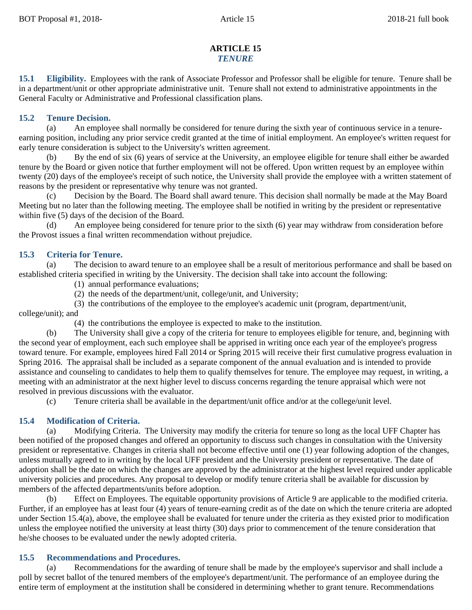# **ARTICLE 15** *TENURE*

**15.1 Eligibility.** Employees with the rank of Associate Professor and Professor shall be eligible for tenure. Tenure shall be in a department/unit or other appropriate administrative unit. Tenure shall not extend to administrative appointments in the General Faculty or Administrative and Professional classification plans.

## **15.2 Tenure Decision.**

(a) An employee shall normally be considered for tenure during the sixth year of continuous service in a tenureearning position, including any prior service credit granted at the time of initial employment. An employee's written request for early tenure consideration is subject to the University's written agreement.

(b) By the end of six (6) years of service at the University, an employee eligible for tenure shall either be awarded tenure by the Board or given notice that further employment will not be offered. Upon written request by an employee within twenty (20) days of the employee's receipt of such notice, the University shall provide the employee with a written statement of reasons by the president or representative why tenure was not granted.

(c) Decision by the Board. The Board shall award tenure. This decision shall normally be made at the May Board Meeting but no later than the following meeting. The employee shall be notified in writing by the president or representative within five (5) days of the decision of the Board.

An employee being considered for tenure prior to the sixth  $(6)$  year may withdraw from consideration before the Provost issues a final written recommendation without prejudice.

## **15.3 Criteria for Tenure.**

(a) The decision to award tenure to an employee shall be a result of meritorious performance and shall be based on established criteria specified in writing by the University. The decision shall take into account the following:

(1) annual performance evaluations;

(2) the needs of the department/unit, college/unit, and University;

(3) the contributions of the employee to the employee's academic unit (program, department/unit, college/unit); and

(4) the contributions the employee is expected to make to the institution.

(b) The University shall give a copy of the criteria for tenure to employees eligible for tenure, and, beginning with the second year of employment, each such employee shall be apprised in writing once each year of the employee's progress toward tenure. For example, employees hired Fall 2014 or Spring 2015 will receive their first cumulative progress evaluation in Spring 2016. The appraisal shall be included as a separate component of the annual evaluation and is intended to provide assistance and counseling to candidates to help them to qualify themselves for tenure. The employee may request, in writing, a meeting with an administrator at the next higher level to discuss concerns regarding the tenure appraisal which were not resolved in previous discussions with the evaluator.

(c) Tenure criteria shall be available in the department/unit office and/or at the college/unit level.

### **15.4 Modification of Criteria.**

(a) Modifying Criteria. The University may modify the criteria for tenure so long as the local UFF Chapter has been notified of the proposed changes and offered an opportunity to discuss such changes in consultation with the University president or representative. Changes in criteria shall not become effective until one (1) year following adoption of the changes, unless mutually agreed to in writing by the local UFF president and the University president or representative. The date of adoption shall be the date on which the changes are approved by the administrator at the highest level required under applicable university policies and procedures. Any proposal to develop or modify tenure criteria shall be available for discussion by members of the affected departments/units before adoption.

(b) Effect on Employees. The equitable opportunity provisions of Article 9 are applicable to the modified criteria. Further, if an employee has at least four (4) years of tenure-earning credit as of the date on which the tenure criteria are adopted under Section 15.4(a), above, the employee shall be evaluated for tenure under the criteria as they existed prior to modification unless the employee notified the university at least thirty (30) days prior to commencement of the tenure consideration that he/she chooses to be evaluated under the newly adopted criteria.

### **15.5 Recommendations and Procedures.**

(a) Recommendations for the awarding of tenure shall be made by the employee's supervisor and shall include a poll by secret ballot of the tenured members of the employee's department/unit. The performance of an employee during the entire term of employment at the institution shall be considered in determining whether to grant tenure. Recommendations